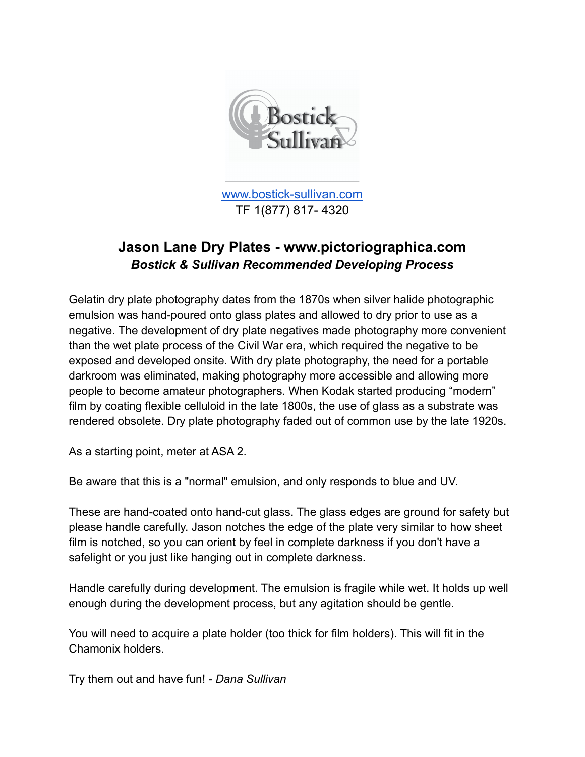

[www.bostick-sullivan.com](http://www.bostick-sullivan.com) TF 1(877) 817- 4320

# **Jason Lane Dry Plates - www.pictoriographica.com** *Bostick & Sullivan Recommended Developing Process*

Gelatin dry plate photography dates from the 1870s when silver halide photographic emulsion was hand-poured onto glass plates and allowed to dry prior to use as a negative. The development of dry plate negatives made photography more convenient than the wet plate process of the Civil War era, which required the negative to be exposed and developed onsite. With dry plate photography, the need for a portable darkroom was eliminated, making photography more accessible and allowing more people to become amateur photographers. When Kodak started producing "modern" film by coating flexible celluloid in the late 1800s, the use of glass as a substrate was rendered obsolete. Dry plate photography faded out of common use by the late 1920s.

As a starting point, meter at ASA 2.

Be aware that this is a "normal" emulsion, and only responds to blue and UV.

These are hand-coated onto hand-cut glass. The glass edges are ground for safety but please handle carefully. Jason notches the edge of the plate very similar to how sheet film is notched, so you can orient by feel in complete darkness if you don't have a safelight or you just like hanging out in complete darkness.

Handle carefully during development. The emulsion is fragile while wet. It holds up well enough during the development process, but any agitation should be gentle.

You will need to acquire a plate holder (too thick for film holders). This will fit in the Chamonix holders.

Try them out and have fun! *- Dana Sullivan*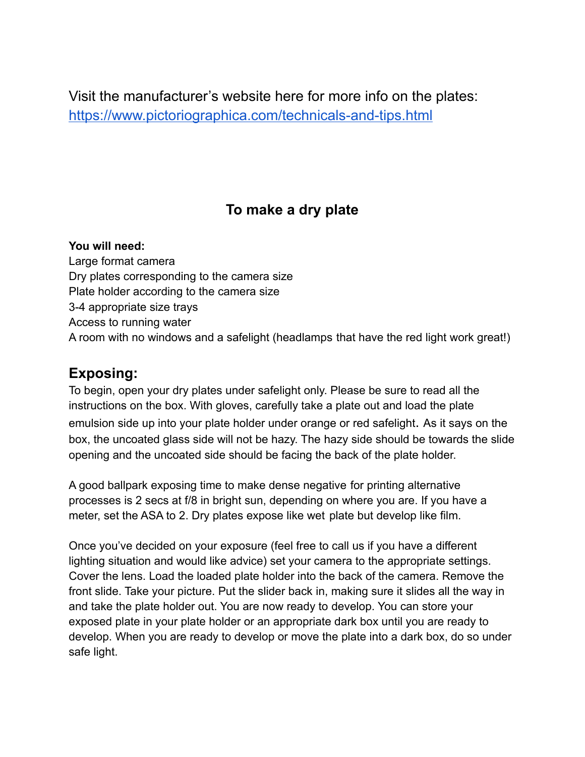Visit the manufacturer's website here for more info on the plates: <https://www.pictoriographica.com/technicals-and-tips.html>

# **To make a dry plate**

#### **You will need:**

Large format camera Dry plates corresponding to the camera size Plate holder according to the camera size 3-4 appropriate size trays Access to running water A room with no windows and a safelight (headlamps that have the red light work great!)

#### **Exposing:**

To begin, open your dry plates under safelight only. Please be sure to read all the instructions on the box. With gloves, carefully take a plate out and load the plate emulsion side up into your plate holder under orange or red safelight. As it says on the box, the uncoated glass side will not be hazy. The hazy side should be towards the slide opening and the uncoated side should be facing the back of the plate holder.

A good ballpark exposing time to make dense negative for printing alternative processes is 2 secs at f/8 in bright sun, depending on where you are. If you have a meter, set the ASA to 2. Dry plates expose like wet plate but develop like film.

Once you've decided on your exposure (feel free to call us if you have a different lighting situation and would like advice) set your camera to the appropriate settings. Cover the lens. Load the loaded plate holder into the back of the camera. Remove the front slide. Take your picture. Put the slider back in, making sure it slides all the way in and take the plate holder out. You are now ready to develop. You can store your exposed plate in your plate holder or an appropriate dark box until you are ready to develop. When you are ready to develop or move the plate into a dark box, do so under safe light.